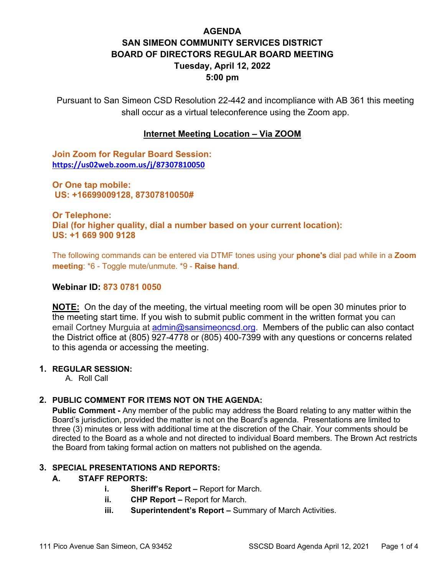# **AGENDA SAN SIMEON COMMUNITY SERVICES DISTRICT BOARD OF DIRECTORS REGULAR BOARD MEETING Tuesday, April 12, 2022 5:00 pm**

Pursuant to San Simeon CSD Resolution 22-442 and incompliance with AB 361 this meeting shall occur as a virtual teleconference using the Zoom app.

## **Internet Meeting Location – Via ZOOM**

**Join Zoom for Regular Board Session: <https://us02web.zoom.us/j/87307810050>**

**Or One tap mobile: US: +16699009128, 87307810050#** 

**Or Telephone: Dial (for higher quality, dial a number based on your current location): US: +1 669 900 9128** 

The following commands can be entered via DTMF tones using your **phone's** dial pad while in a **Zoom meeting**: \*6 - Toggle mute/unmute. \*9 - **Raise hand**.

### **Webinar ID: 873 0781 0050**

**NOTE:** On the day of the meeting, the virtual meeting room will be open 30 minutes prior to the meeting start time. If you wish to submit public comment in the written format you can email Cortney Murguia at [admin@sansimeoncsd.org.](mailto:admin@sansimeoncsd.org) Members of the public can also contact the District office at (805) 927-4778 or (805) 400-7399 with any questions or concerns related to this agenda or accessing the meeting.

## **1. REGULAR SESSION:**

A. Roll Call

## **2. PUBLIC COMMENT FOR ITEMS NOT ON THE AGENDA:**

**Public Comment -** Any member of the public may address the Board relating to any matter within the Board's jurisdiction, provided the matter is not on the Board's agenda. Presentations are limited to three (3) minutes or less with additional time at the discretion of the Chair. Your comments should be directed to the Board as a whole and not directed to individual Board members. The Brown Act restricts the Board from taking formal action on matters not published on the agenda.

### **3. SPECIAL PRESENTATIONS AND REPORTS:**

### **A. STAFF REPORTS:**

- **i. Sheriff's Report** Report for March.
- **ii.** CHP Report Report for March.
- **iii.** Superintendent's Report Summary of March Activities.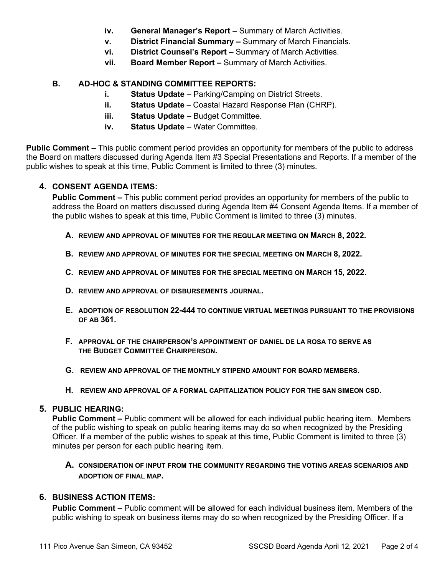- **iv. General Manager's Report –** Summary of March Activities.
- **v. District Financial Summary –** Summary of March Financials.
- **vi. District Counsel's Report –** Summary of March Activities.
- **vii. Board Member Report –** Summary of March Activities.

## **B. AD-HOC & STANDING COMMITTEE REPORTS:**

- **i. Status Update** Parking/Camping on District Streets.
- **ii. Status Update**  Coastal Hazard Response Plan (CHRP).
- **iii. Status Update** Budget Committee.
- **iv. Status Update** Water Committee.

**Public Comment –** This public comment period provides an opportunity for members of the public to address the Board on matters discussed during Agenda Item #3 Special Presentations and Reports. If a member of the public wishes to speak at this time, Public Comment is limited to three (3) minutes.

## **4. CONSENT AGENDA ITEMS:**

**Public Comment –** This public comment period provides an opportunity for members of the public to address the Board on matters discussed during Agenda Item #4 Consent Agenda Items. If a member of the public wishes to speak at this time, Public Comment is limited to three (3) minutes.

- **A. REVIEW AND APPROVAL OF MINUTES FOR THE REGULAR MEETING ON MARCH 8, 2022.**
- **B. REVIEW AND APPROVAL OF MINUTES FOR THE SPECIAL MEETING ON MARCH 8, 2022.**
- **C. REVIEW AND APPROVAL OF MINUTES FOR THE SPECIAL MEETING ON MARCH 15, 2022.**
- **D. REVIEW AND APPROVAL OF DISBURSEMENTS JOURNAL.**
- **E. ADOPTION OF RESOLUTION 22-444 TO CONTINUE VIRTUAL MEETINGS PURSUANT TO THE PROVISIONS OF AB 361.**
- **F. APPROVAL OF THE CHAIRPERSON'S APPOINTMENT OF DANIEL DE LA ROSA TO SERVE AS THE BUDGET COMMITTEE CHAIRPERSON.**
- **G. REVIEW AND APPROVAL OF THE MONTHLY STIPEND AMOUNT FOR BOARD MEMBERS.**
- **H. REVIEW AND APPROVAL OF A FORMAL CAPITALIZATION POLICY FOR THE SAN SIMEON CSD.**

## **5. PUBLIC HEARING:**

**Public Comment –** Public comment will be allowed for each individual public hearing item. Members of the public wishing to speak on public hearing items may do so when recognized by the Presiding Officer. If a member of the public wishes to speak at this time, Public Comment is limited to three (3) minutes per person for each public hearing item.

## **A. CONSIDERATION OF INPUT FROM THE COMMUNITY REGARDING THE VOTING AREAS SCENARIOS AND ADOPTION OF FINAL MAP.**

## **6. BUSINESS ACTION ITEMS:**

**Public Comment –** Public comment will be allowed for each individual business item. Members of the public wishing to speak on business items may do so when recognized by the Presiding Officer. If a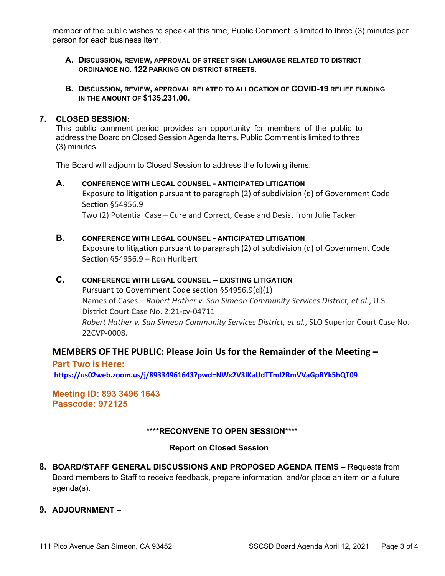member of the public wishes to speak at this time, Public Comment is limited to three (3) minutes per person for each business item.

- **A. DISCUSSION, REVIEW, APPROVAL OF STREET SIGN LANGUAGE RELATED TO DISTRICT ORDINANCE NO. 122 PARKING ON DISTRICT STREETS.**
- **B. DISCUSSION, REVIEW, APPROVAL RELATED TO ALLOCATION OF COVID-19 RELIEF FUNDING IN THE AMOUNT OF \$135,231.00.**

#### **7. CLOSED SESSION:**

This public comment period provides an opportunity for members of the public to address the Board on Closed Session Agenda Items. Public Comment is limited to three (3) minutes.

The Board will adjourn to Closed Session to address the following items:

- **A. CONFERENCE WITH LEGAL COUNSEL - ANTICIPATED LITIGATION** Exposure to litigation pursuant to paragraph (2) of subdivision (d) of Government Code Section §54956.9 Two (2) Potential Case – Cure and Correct, Cease and Desist from Julie Tacker
- **B. CONFERENCE WITH LEGAL COUNSEL - ANTICIPATED LITIGATION** Exposure to litigation pursuant to paragraph (2) of subdivision (d) of Government Code Section §54956.9 – Ron Hurlbert

### **C. CONFERENCE WITH LEGAL COUNSEL – EXISTING LITIGATION**

Pursuant to Government Code section §54956.9(d)(1) Names of Cases – *Robert Hather v. San Simeon Community Services District, et al.*, U.S. District Court Case No. 2:21-cv-04711 *Robert Hather v. San Simeon Community Services District, et al.*, SLO Superior Court Case No. 22CVP-0008.

### **MEMBERS OF THE PUBLIC: Please Join Us for the Remainder of the Meeting –**

**Part Two is Here: <https://us02web.zoom.us/j/89334961643?pwd=NWx2V3lKaUdTTmI2RmVVaGpBYk5hQT09>**

## **Meeting ID: 893 3496 1643 Passcode: 972125**

### **\*\*\*\*RECONVENE TO OPEN SESSION\*\*\*\***

### **Report on Closed Session**

**8. BOARD/STAFF GENERAL DISCUSSIONS AND PROPOSED AGENDA ITEMS** – Requests from Board members to Staff to receive feedback, prepare information, and/or place an item on a future agenda(s).

### **9. ADJOURNMENT** –